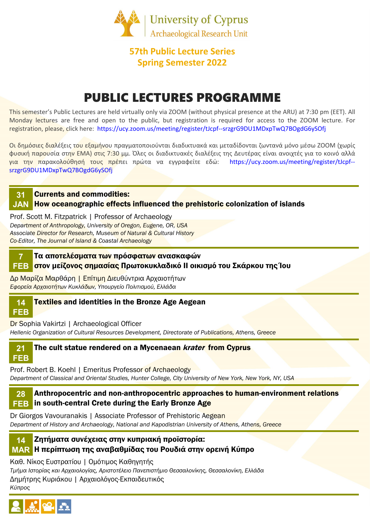

## 57th Public Lecture Series Spring Semester 2022

# PUBLIC LECTURES PROGRAMME

This semester's Public Lectures are held virtually only via ZOOM (without physical presence at the ARU) at 7:30 pm (EET). All Monday lectures are free and open to the public, but registration is required for access to the ZOOM lecture. For registration, please, click here: https://ucy.zoom.us/meeting/register/tJcpf--srzgrG9DU1MDxpTwQ7BOgdG6ySOfj

Οι δημόσιες διαλέξεις τ<mark>ου εξαμή</mark>νου πραγματοποιούνται διαδικτυακά και μεταδίδονται ζωντανά μόνο μέσω ZOOM (χωρίς φυσική παρουσία στην ΕΜΑ) στις 7:30 μμ. Όλες οι διαδικτυακές διαλέξεις της Δευτέρας είναι ανοιχτές για το κοινό αλλά για την παρακολούθησή τους πρέπει πρώτα να εγγραφείτε εδώ: https://ucy.zoom.us/meeting/register/tJcpf- srzgrG9DU1MDxpTwQ7BOgdG6ySOfj

#### Currents and commodities: 31

#### JAN How oceanographic effects influenced the prehistoric colonization of islands

Prof. Scott M. Fitzpatrick | Professor of Archaeology Department of Anthropology, University of Oregon, Eugene, OR, USA Associate Director for Research, Museum of Natural & Cultural History Co-Editor, The Journal of Island & Coastal Archaeology

Τα αποτελέσματα των πρόσφατων ανασκαφών στον μείζονος σημασίας Πρωτοκυκλαδικό ΙΙ οικισμό του Σκάρκου της Ίου FEB 7

Δρ Μαρίζα Μαρθάρη | Επίτιμη Διευθύντρια Αρχαιοτήτων Εφορεία Αρχαιοτήτων Κυκλάδων, Υπουργείο Πολιτισμού, Ελλάδα

#### 14 Textiles and identities in the Bronze Age Aegean

## FEB

Dr Sophia Vakirtzi | Archaeological Officer

Hellenic Organization of Cultural Resources Development, Directorate of Publications, Athens, Greece



Prof. Robert Β. Koehl | Emeritus Professor of Archaeology Department of Classical and Oriental Studies, Hunter College, City University of New York, New York, NY, USA

#### Anthropocentric and non-anthropocentric approaches to human-environment relations **FEB** in south-central Crete during the Early Bronze Age 28

Dr Giorgos Vavouranakis | Associate Professor of Prehistoric Aegean Department of History and Archaeology, National and Kapodistrian University of Athens, Athens, Greece



#### Ζητήματα συνέχειας στην κυπριακή προϊστορία: Η περίπτωση της αναβαθμίδας του Ρουδιά στην ορεινή Κύπρο MAR

Καθ. Νίκος Ευστρατίου | Ομότιμος Καθηγητής

Τμήμα Ιστορίας και Αρχαιολογίας, Αριστοτέλειο Πανεπιστήμιο Θεσσαλονίκης, Θεσσαλονίκη, Ελλάδα Δημήτρης Κυριάκου | Αρχαιολόγος-Εκπαιδευτικός

Κύπρος